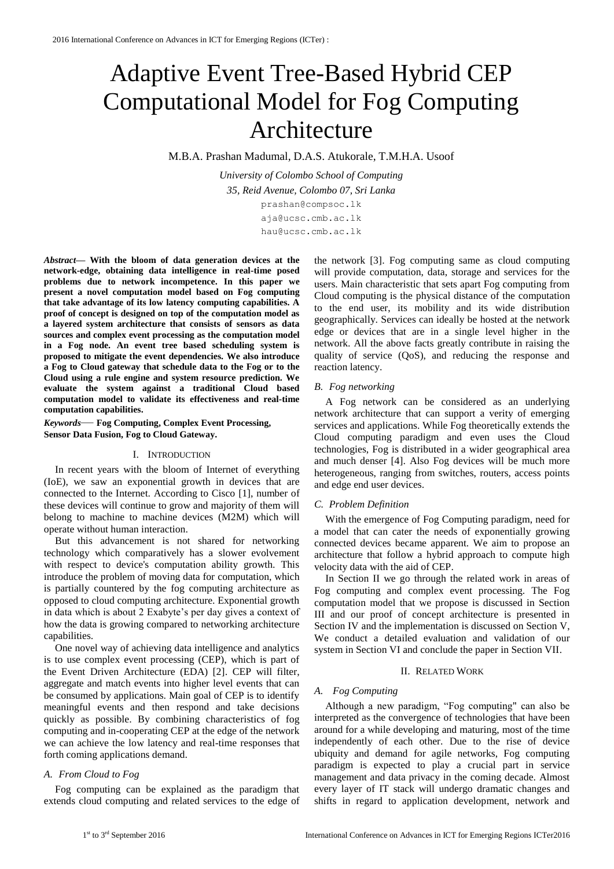# Adaptive Event Tree-Based Hybrid CEP Computational Model for Fog Computing Architecture

M.B.A. Prashan Madumal, D.A.S. Atukorale, T.M.H.A. Usoof

*University of Colombo School of Computing 35, Reid Avenue, Colombo 07, Sri Lanka*

> prashan@compsoc.lk aja@ucsc.cmb.ac.lk hau@ucsc.cmb.ac.lk

*Abstract***— With the bloom of data generation devices at the network-edge, obtaining data intelligence in real-time posed problems due to network incompetence. In this paper we present a novel computation model based on Fog computing that take advantage of its low latency computing capabilities. A proof of concept is designed on top of the computation model as a layered system architecture that consists of sensors as data sources and complex event processing as the computation model in a Fog node. An event tree based scheduling system is proposed to mitigate the event dependencies. We also introduce a Fog to Cloud gateway that schedule data to the Fog or to the Cloud using a rule engine and system resource prediction. We evaluate the system against a traditional Cloud based** 

**computation capabilities.** *Keywords*— **Fog Computing, Complex Event Processing, Sensor Data Fusion, Fog to Cloud Gateway.**

#### I. INTRODUCTION

**computation model to validate its effectiveness and real-time** 

In recent years with the bloom of Internet of everything (IoE), we saw an exponential growth in devices that are connected to the Internet. According to Cisco [1], number of these devices will continue to grow and majority of them will belong to machine to machine devices (M2M) which will operate without human interaction.

But this advancement is not shared for networking technology which comparatively has a slower evolvement with respect to device's computation ability growth. This introduce the problem of moving data for computation, which is partially countered by the fog computing architecture as opposed to cloud computing architecture. Exponential growth in data which is about 2 Exabyte's per day gives a context of how the data is growing compared to networking architecture capabilities.

One novel way of achieving data intelligence and analytics is to use complex event processing (CEP), which is part of the Event Driven Architecture (EDA) [2]. CEP will filter, aggregate and match events into higher level events that can be consumed by applications. Main goal of CEP is to identify meaningful events and then respond and take decisions quickly as possible. By combining characteristics of fog computing and in-cooperating CEP at the edge of the network we can achieve the low latency and real-time responses that forth coming applications demand.

# *A. From Cloud to Fog*

Fog computing can be explained as the paradigm that extends cloud computing and related services to the edge of

the network [3]. Fog computing same as cloud computing will provide computation, data, storage and services for the users. Main characteristic that sets apart Fog computing from Cloud computing is the physical distance of the computation to the end user, its mobility and its wide distribution geographically. Services can ideally be hosted at the network edge or devices that are in a single level higher in the network. All the above facts greatly contribute in raising the quality of service (QoS), and reducing the response and reaction latency.

# *B. Fog networking*

A Fog network can be considered as an underlying network architecture that can support a verity of emerging services and applications. While Fog theoretically extends the Cloud computing paradigm and even uses the Cloud technologies, Fog is distributed in a wider geographical area and much denser [4]. Also Fog devices will be much more heterogeneous, ranging from switches, routers, access points and edge end user devices.

# *C. Problem Definition*

With the emergence of Fog Computing paradigm, need for a model that can cater the needs of exponentially growing connected devices became apparent. We aim to propose an architecture that follow a hybrid approach to compute high velocity data with the aid of CEP.

In Section II we go through the related work in areas of Fog computing and complex event processing. The Fog computation model that we propose is discussed in Section III and our proof of concept architecture is presented in Section IV and the implementation is discussed on Section V, We conduct a detailed evaluation and validation of our system in Section VI and conclude the paper in Section VII.

#### II. RELATED WORK

#### *A. Fog Computing*

Although a new paradigm, "Fog computing" can also be interpreted as the convergence of technologies that have been around for a while developing and maturing, most of the time independently of each other. Due to the rise of device ubiquity and demand for agile networks, Fog computing paradigm is expected to play a crucial part in service management and data privacy in the coming decade. Almost every layer of IT stack will undergo dramatic changes and shifts in regard to application development, network and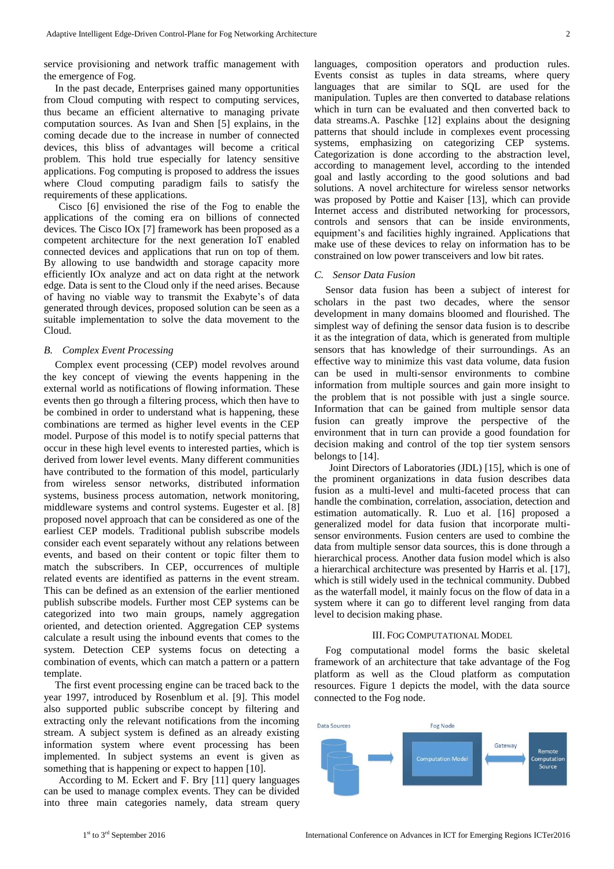service provisioning and network traffic management with the emergence of Fog.

In the past decade, Enterprises gained many opportunities from Cloud computing with respect to computing services, thus became an efficient alternative to managing private computation sources. As Ivan and Shen [5] explains, in the coming decade due to the increase in number of connected devices, this bliss of advantages will become a critical problem. This hold true especially for latency sensitive applications. Fog computing is proposed to address the issues where Cloud computing paradigm fails to satisfy the requirements of these applications.

Cisco [6] envisioned the rise of the Fog to enable the applications of the coming era on billions of connected devices. The Cisco IOx [7] framework has been proposed as a competent architecture for the next generation IoT enabled connected devices and applications that run on top of them. By allowing to use bandwidth and storage capacity more efficiently IOx analyze and act on data right at the network edge. Data is sent to the Cloud only if the need arises. Because of having no viable way to transmit the Exabyte's of data generated through devices, proposed solution can be seen as a suitable implementation to solve the data movement to the Cloud.

## *B. Complex Event Processing*

Complex event processing (CEP) model revolves around the key concept of viewing the events happening in the external world as notifications of flowing information. These events then go through a filtering process, which then have to be combined in order to understand what is happening, these combinations are termed as higher level events in the CEP model. Purpose of this model is to notify special patterns that occur in these high level events to interested parties, which is derived from lower level events. Many different communities have contributed to the formation of this model, particularly from wireless sensor networks, distributed information systems, business process automation, network monitoring, middleware systems and control systems. Eugester et al. [8] proposed novel approach that can be considered as one of the earliest CEP models. Traditional publish subscribe models consider each event separately without any relations between events, and based on their content or topic filter them to match the subscribers. In CEP, occurrences of multiple related events are identified as patterns in the event stream. This can be defined as an extension of the earlier mentioned publish subscribe models. Further most CEP systems can be categorized into two main groups, namely aggregation oriented, and detection oriented. Aggregation CEP systems calculate a result using the inbound events that comes to the system. Detection CEP systems focus on detecting a combination of events, which can match a pattern or a pattern template.

The first event processing engine can be traced back to the year 1997, introduced by Rosenblum et al. [9]. This model also supported public subscribe concept by filtering and extracting only the relevant notifications from the incoming stream. A subject system is defined as an already existing information system where event processing has been implemented. In subject systems an event is given as something that is happening or expect to happen [10].

According to M. Eckert and F. Bry [11] query languages can be used to manage complex events. They can be divided into three main categories namely, data stream query languages, composition operators and production rules. Events consist as tuples in data streams, where query languages that are similar to SQL are used for the manipulation. Tuples are then converted to database relations which in turn can be evaluated and then converted back to data streams.A. Paschke [12] explains about the designing patterns that should include in complexes event processing systems, emphasizing on categorizing CEP systems. Categorization is done according to the abstraction level, according to management level, according to the intended goal and lastly according to the good solutions and bad solutions. A novel architecture for wireless sensor networks was proposed by Pottie and Kaiser [13], which can provide Internet access and distributed networking for processors, controls and sensors that can be inside environments, equipment's and facilities highly ingrained. Applications that make use of these devices to relay on information has to be constrained on low power transceivers and low bit rates.

## *C. Sensor Data Fusion*

Sensor data fusion has been a subject of interest for scholars in the past two decades, where the sensor development in many domains bloomed and flourished. The simplest way of defining the sensor data fusion is to describe it as the integration of data, which is generated from multiple sensors that has knowledge of their surroundings. As an effective way to minimize this vast data volume, data fusion can be used in multi-sensor environments to combine information from multiple sources and gain more insight to the problem that is not possible with just a single source. Information that can be gained from multiple sensor data fusion can greatly improve the perspective of the environment that in turn can provide a good foundation for decision making and control of the top tier system sensors belongs to [14].

Joint Directors of Laboratories (JDL) [15], which is one of the prominent organizations in data fusion describes data fusion as a multi-level and multi-faceted process that can handle the combination, correlation, association, detection and estimation automatically. R. Luo et al. [16] proposed a generalized model for data fusion that incorporate multisensor environments. Fusion centers are used to combine the data from multiple sensor data sources, this is done through a hierarchical process. Another data fusion model which is also a hierarchical architecture was presented by Harris et al. [17], which is still widely used in the technical community. Dubbed as the waterfall model, it mainly focus on the flow of data in a system where it can go to different level ranging from data level to decision making phase.

#### III. FOG COMPUTATIONAL MODEL

Fog computational model forms the basic skeletal framework of an architecture that take advantage of the Fog platform as well as the Cloud platform as computation resources. Figure 1 depicts the model, with the data source connected to the Fog node.

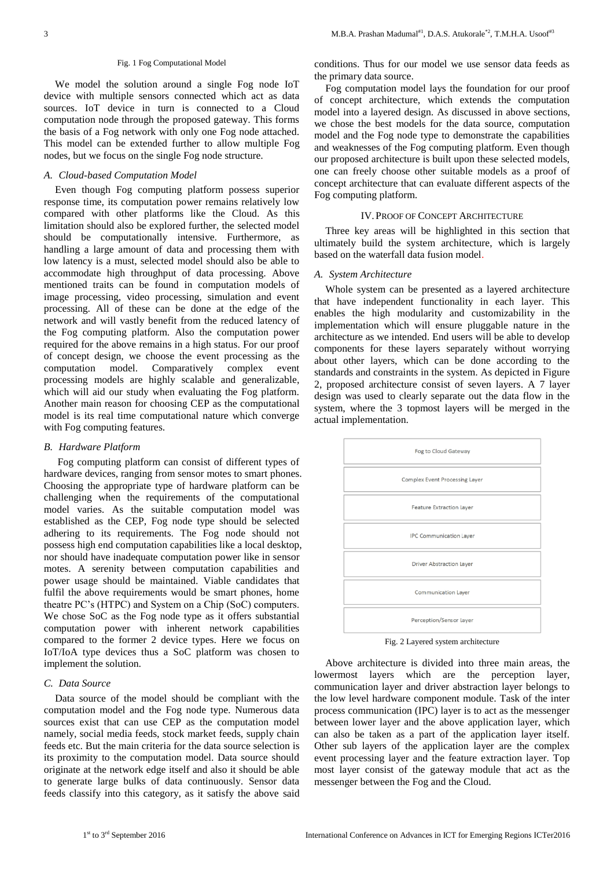#### Fig. 1 Fog Computational Model

We model the solution around a single Fog node IoT device with multiple sensors connected which act as data sources. IoT device in turn is connected to a Cloud computation node through the proposed gateway. This forms the basis of a Fog network with only one Fog node attached. This model can be extended further to allow multiple Fog nodes, but we focus on the single Fog node structure.

## *A. Cloud-based Computation Model*

Even though Fog computing platform possess superior response time, its computation power remains relatively low compared with other platforms like the Cloud. As this limitation should also be explored further, the selected model should be computationally intensive. Furthermore, as handling a large amount of data and processing them with low latency is a must, selected model should also be able to accommodate high throughput of data processing. Above mentioned traits can be found in computation models of image processing, video processing, simulation and event processing. All of these can be done at the edge of the network and will vastly benefit from the reduced latency of the Fog computing platform. Also the computation power required for the above remains in a high status. For our proof of concept design, we choose the event processing as the computation model. Comparatively complex event processing models are highly scalable and generalizable, which will aid our study when evaluating the Fog platform. Another main reason for choosing CEP as the computational model is its real time computational nature which converge with Fog computing features.

# *B. Hardware Platform*

Fog computing platform can consist of different types of hardware devices, ranging from sensor motes to smart phones. Choosing the appropriate type of hardware platform can be challenging when the requirements of the computational model varies. As the suitable computation model was established as the CEP, Fog node type should be selected adhering to its requirements. The Fog node should not possess high end computation capabilities like a local desktop, nor should have inadequate computation power like in sensor motes. A serenity between computation capabilities and power usage should be maintained. Viable candidates that fulfil the above requirements would be smart phones, home theatre PC's (HTPC) and System on a Chip (SoC) computers. We chose SoC as the Fog node type as it offers substantial computation power with inherent network capabilities compared to the former 2 device types. Here we focus on IoT/IoA type devices thus a SoC platform was chosen to implement the solution.

# *C. Data Source*

Data source of the model should be compliant with the computation model and the Fog node type. Numerous data sources exist that can use CEP as the computation model namely, social media feeds, stock market feeds, supply chain feeds etc. But the main criteria for the data source selection is its proximity to the computation model. Data source should originate at the network edge itself and also it should be able to generate large bulks of data continuously. Sensor data feeds classify into this category, as it satisfy the above said conditions. Thus for our model we use sensor data feeds as the primary data source.

Fog computation model lays the foundation for our proof of concept architecture, which extends the computation model into a layered design. As discussed in above sections, we chose the best models for the data source, computation model and the Fog node type to demonstrate the capabilities and weaknesses of the Fog computing platform. Even though our proposed architecture is built upon these selected models, one can freely choose other suitable models as a proof of concept architecture that can evaluate different aspects of the Fog computing platform.

#### IV.PROOF OF CONCEPT ARCHITECTURE

Three key areas will be highlighted in this section that ultimately build the system architecture, which is largely based on the waterfall data fusion model.

#### *A. System Architecture*

Whole system can be presented as a layered architecture that have independent functionality in each layer. This enables the high modularity and customizability in the implementation which will ensure pluggable nature in the architecture as we intended. End users will be able to develop components for these layers separately without worrying about other layers, which can be done according to the standards and constraints in the system. As depicted in Figure 2, proposed architecture consist of seven layers. A 7 layer design was used to clearly separate out the data flow in the system, where the 3 topmost layers will be merged in the actual implementation.



Fig. 2 Layered system architecture

Above architecture is divided into three main areas, the lowermost layers which are the perception layer, communication layer and driver abstraction layer belongs to the low level hardware component module. Task of the inter process communication (IPC) layer is to act as the messenger between lower layer and the above application layer, which can also be taken as a part of the application layer itself. Other sub layers of the application layer are the complex event processing layer and the feature extraction layer. Top most layer consist of the gateway module that act as the messenger between the Fog and the Cloud.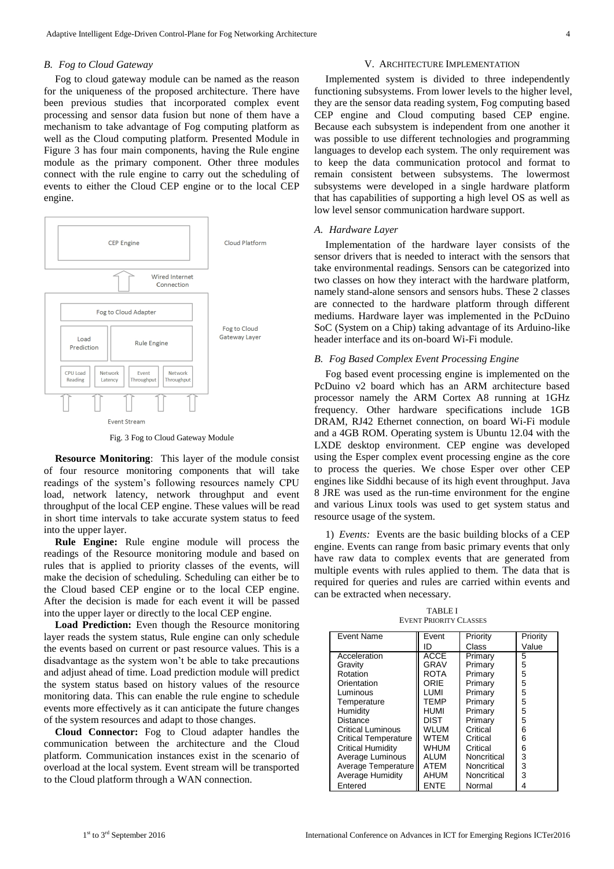#### *B. Fog to Cloud Gateway*

Fog to cloud gateway module can be named as the reason for the uniqueness of the proposed architecture. There have been previous studies that incorporated complex event processing and sensor data fusion but none of them have a mechanism to take advantage of Fog computing platform as well as the Cloud computing platform. Presented Module in Figure 3 has four main components, having the Rule engine module as the primary component. Other three modules connect with the rule engine to carry out the scheduling of events to either the Cloud CEP engine or to the local CEP engine.



Fig. 3 Fog to Cloud Gateway Module

**Resource Monitoring**: This layer of the module consist of four resource monitoring components that will take readings of the system's following resources namely CPU load, network latency, network throughput and event throughput of the local CEP engine. These values will be read in short time intervals to take accurate system status to feed into the upper layer.

**Rule Engine:** Rule engine module will process the readings of the Resource monitoring module and based on rules that is applied to priority classes of the events, will make the decision of scheduling. Scheduling can either be to the Cloud based CEP engine or to the local CEP engine. After the decision is made for each event it will be passed into the upper layer or directly to the local CEP engine.

**Load Prediction:** Even though the Resource monitoring layer reads the system status, Rule engine can only schedule the events based on current or past resource values. This is a disadvantage as the system won't be able to take precautions and adjust ahead of time. Load prediction module will predict the system status based on history values of the resource monitoring data. This can enable the rule engine to schedule events more effectively as it can anticipate the future changes of the system resources and adapt to those changes.

**Cloud Connector:** Fog to Cloud adapter handles the communication between the architecture and the Cloud platform. Communication instances exist in the scenario of overload at the local system. Event stream will be transported to the Cloud platform through a WAN connection.

# V. ARCHITECTURE IMPLEMENTATION

Implemented system is divided to three independently functioning subsystems. From lower levels to the higher level, they are the sensor data reading system, Fog computing based CEP engine and Cloud computing based CEP engine. Because each subsystem is independent from one another it was possible to use different technologies and programming languages to develop each system. The only requirement was to keep the data communication protocol and format to remain consistent between subsystems. The lowermost subsystems were developed in a single hardware platform that has capabilities of supporting a high level OS as well as low level sensor communication hardware support.

## *A. Hardware Layer*

Implementation of the hardware layer consists of the sensor drivers that is needed to interact with the sensors that take environmental readings. Sensors can be categorized into two classes on how they interact with the hardware platform, namely stand-alone sensors and sensors hubs. These 2 classes are connected to the hardware platform through different mediums. Hardware layer was implemented in the PcDuino SoC (System on a Chip) taking advantage of its Arduino-like header interface and its on-board Wi-Fi module.

## *B. Fog Based Complex Event Processing Engine*

Fog based event processing engine is implemented on the PcDuino v2 board which has an ARM architecture based processor namely the ARM Cortex A8 running at 1GHz frequency. Other hardware specifications include 1GB DRAM, RJ42 Ethernet connection, on board Wi-Fi module and a 4GB ROM. Operating system is Ubuntu 12.04 with the LXDE desktop environment. CEP engine was developed using the Esper complex event processing engine as the core to process the queries. We chose Esper over other CEP engines like Siddhi because of its high event throughput. Java 8 JRE was used as the run-time environment for the engine and various Linux tools was used to get system status and resource usage of the system.

1) *Events:* Events are the basic building blocks of a CEP engine. Events can range from basic primary events that only have raw data to complex events that are generated from multiple events with rules applied to them. The data that is required for queries and rules are carried within events and can be extracted when necessary.

TABLE I EVENT PRIORITY CLASSES

| Event Name                  | Event        | Priority    | Priority |
|-----------------------------|--------------|-------------|----------|
|                             | ID           | Class       | Value    |
| Acceleration                | ACCE         | Primary     | 5        |
| Gravity                     | GRAV         | Primary     | 5        |
| Rotation                    | <b>ROTA</b>  | Primary     | 5        |
| Orientation                 | ORIE         | Primary     | 5        |
| Luminous                    | LUMI         | Primary     | 5        |
| Temperature                 | <b>TEMP</b>  | Primary     | 5        |
| Humidity                    | HUMI         | Primary     | 5        |
| <b>Distance</b>             | DIST         | Primary     | 5        |
| <b>Critical Luminous</b>    | <b>WI UM</b> | Critical    | 6        |
| <b>Critical Temperature</b> | <b>WTFM</b>  | Critical    | 6        |
| <b>Critical Humidity</b>    | WHUM         | Critical    | 6        |
| Average Luminous            | ALUM         | Noncritical | 3        |
| Average Temperature         | <b>ATEM</b>  | Noncritical | 3        |
| Average Humidity            | AHUM         | Noncritical | 3        |
| Entered                     | ENTE         | Normal      | 4        |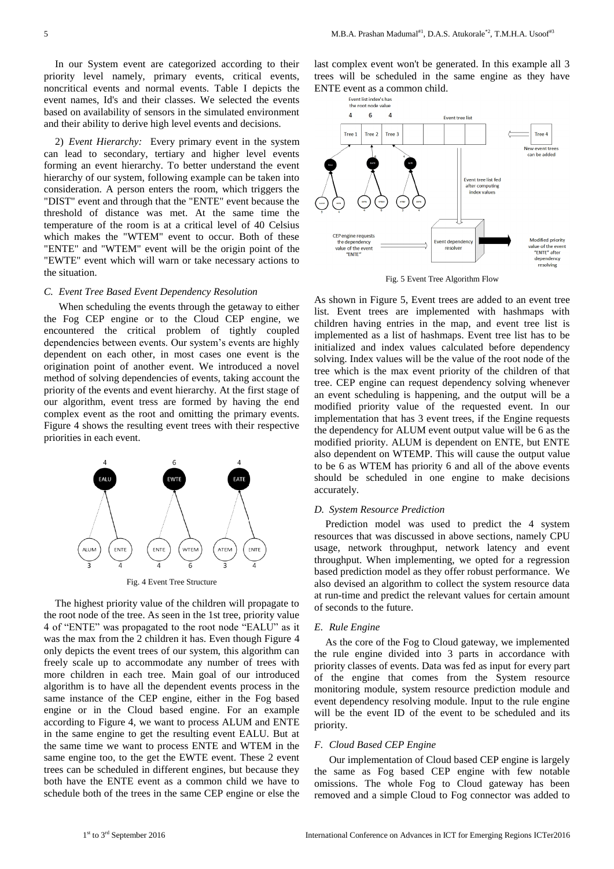In our System event are categorized according to their priority level namely, primary events, critical events, noncritical events and normal events. Table I depicts the event names, Id's and their classes. We selected the events based on availability of sensors in the simulated environment and their ability to derive high level events and decisions.

2) *Event Hierarchy:* Every primary event in the system can lead to secondary, tertiary and higher level events forming an event hierarchy. To better understand the event hierarchy of our system, following example can be taken into consideration. A person enters the room, which triggers the "DIST" event and through that the "ENTE" event because the threshold of distance was met. At the same time the temperature of the room is at a critical level of 40 Celsius which makes the "WTEM" event to occur. Both of these "ENTE" and "WTEM" event will be the origin point of the "EWTE" event which will warn or take necessary actions to the situation.

# *C. Event Tree Based Event Dependency Resolution*

When scheduling the events through the getaway to either the Fog CEP engine or to the Cloud CEP engine, we encountered the critical problem of tightly coupled dependencies between events. Our system's events are highly dependent on each other, in most cases one event is the origination point of another event. We introduced a novel method of solving dependencies of events, taking account the priority of the events and event hierarchy. At the first stage of our algorithm, event tress are formed by having the end complex event as the root and omitting the primary events. Figure 4 shows the resulting event trees with their respective priorities in each event.



Fig. 4 Event Tree Structure

The highest priority value of the children will propagate to the root node of the tree. As seen in the 1st tree, priority value 4 of "ENTE" was propagated to the root node "EALU" as it was the max from the 2 children it has. Even though Figure 4 only depicts the event trees of our system, this algorithm can freely scale up to accommodate any number of trees with more children in each tree. Main goal of our introduced algorithm is to have all the dependent events process in the same instance of the CEP engine, either in the Fog based engine or in the Cloud based engine. For an example according to Figure 4, we want to process ALUM and ENTE in the same engine to get the resulting event EALU. But at the same time we want to process ENTE and WTEM in the same engine too, to the get the EWTE event. These 2 event trees can be scheduled in different engines, but because they both have the ENTE event as a common child we have to schedule both of the trees in the same CEP engine or else the last complex event won't be generated. In this example all 3 trees will be scheduled in the same engine as they have



Fig. 5 Event Tree Algorithm Flow

As shown in Figure 5, Event trees are added to an event tree list. Event trees are implemented with hashmaps with children having entries in the map, and event tree list is implemented as a list of hashmaps. Event tree list has to be initialized and index values calculated before dependency solving. Index values will be the value of the root node of the tree which is the max event priority of the children of that tree. CEP engine can request dependency solving whenever an event scheduling is happening, and the output will be a modified priority value of the requested event. In our implementation that has 3 event trees, if the Engine requests the dependency for ALUM event output value will be 6 as the modified priority. ALUM is dependent on ENTE, but ENTE also dependent on WTEMP. This will cause the output value to be 6 as WTEM has priority 6 and all of the above events should be scheduled in one engine to make decisions accurately.

# *D. System Resource Prediction*

Prediction model was used to predict the 4 system resources that was discussed in above sections, namely CPU usage, network throughput, network latency and event throughput. When implementing, we opted for a regression based prediction model as they offer robust performance. We also devised an algorithm to collect the system resource data at run-time and predict the relevant values for certain amount of seconds to the future.

#### *E. Rule Engine*

As the core of the Fog to Cloud gateway, we implemented the rule engine divided into 3 parts in accordance with priority classes of events. Data was fed as input for every part of the engine that comes from the System resource monitoring module, system resource prediction module and event dependency resolving module. Input to the rule engine will be the event ID of the event to be scheduled and its priority.

#### *F. Cloud Based CEP Engine*

Our implementation of Cloud based CEP engine is largely the same as Fog based CEP engine with few notable omissions. The whole Fog to Cloud gateway has been removed and a simple Cloud to Fog connector was added to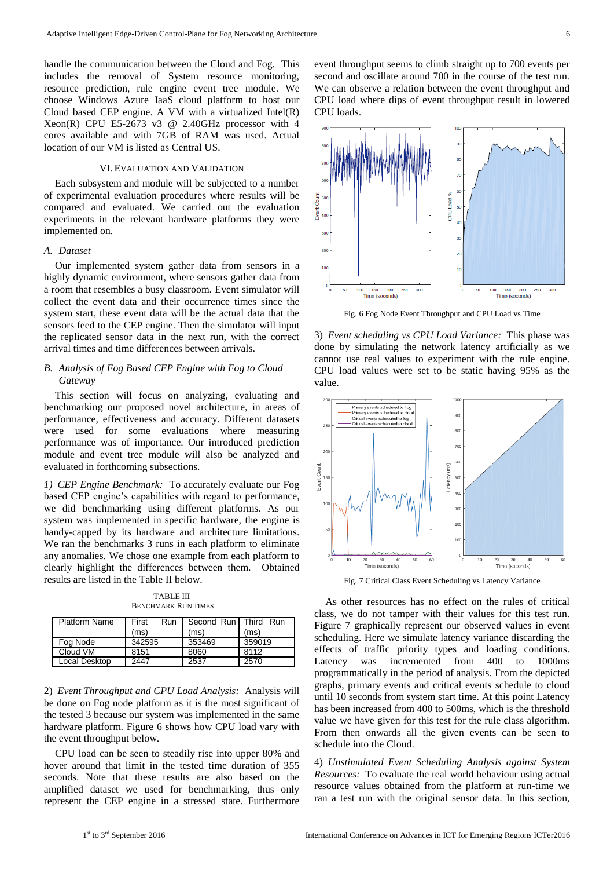handle the communication between the Cloud and Fog. This includes the removal of System resource monitoring, resource prediction, rule engine event tree module. We choose Windows Azure IaaS cloud platform to host our Cloud based CEP engine. A VM with a virtualized  $Intel(R)$ Xeon(R) CPU E5-2673 v3  $@$  2.40GHz processor with 4 cores available and with 7GB of RAM was used. Actual location of our VM is listed as Central US.

## VI.EVALUATION AND VALIDATION

Each subsystem and module will be subjected to a number of experimental evaluation procedures where results will be compared and evaluated. We carried out the evaluation experiments in the relevant hardware platforms they were implemented on.

#### *A. Dataset*

Our implemented system gather data from sensors in a highly dynamic environment, where sensors gather data from a room that resembles a busy classroom. Event simulator will collect the event data and their occurrence times since the system start, these event data will be the actual data that the sensors feed to the CEP engine. Then the simulator will input the replicated sensor data in the next run, with the correct arrival times and time differences between arrivals.

# *B. Analysis of Fog Based CEP Engine with Fog to Cloud Gateway*

This section will focus on analyzing, evaluating and benchmarking our proposed novel architecture, in areas of performance, effectiveness and accuracy. Different datasets were used for some evaluations where measuring performance was of importance. Our introduced prediction module and event tree module will also be analyzed and evaluated in forthcoming subsections.

*1) CEP Engine Benchmark:* To accurately evaluate our Fog based CEP engine's capabilities with regard to performance, we did benchmarking using different platforms. As our system was implemented in specific hardware, the engine is handy-capped by its hardware and architecture limitations. We ran the benchmarks 3 runs in each platform to eliminate any anomalies. We chose one example from each platform to clearly highlight the differences between them. Obtained results are listed in the Table II below.

TABLE III BENCHMARK RUN TIMES

| <b>Platform Name</b> | First<br>Run<br>(ms) | Second Run Third<br>(ms) | Run<br>(ms) |
|----------------------|----------------------|--------------------------|-------------|
| Fog Node             | 342595               | 353469                   | 359019      |
| Cloud VM             | 8151                 | 8060                     | 8112        |
| Local Desktop        | 2447                 | 2537                     | 2570        |

2) *Event Throughput and CPU Load Analysis:* Analysis will be done on Fog node platform as it is the most significant of the tested 3 because our system was implemented in the same hardware platform. Figure 6 shows how CPU load vary with the event throughput below.

CPU load can be seen to steadily rise into upper 80% and hover around that limit in the tested time duration of 355 seconds. Note that these results are also based on the amplified dataset we used for benchmarking, thus only represent the CEP engine in a stressed state. Furthermore event throughput seems to climb straight up to 700 events per second and oscillate around 700 in the course of the test run. We can observe a relation between the event throughput and CPU load where dips of event throughput result in lowered CPU loads.



Fig. 6 Fog Node Event Throughput and CPU Load vs Time

3) *Event scheduling vs CPU Load Variance:* This phase was done by simulating the network latency artificially as we cannot use real values to experiment with the rule engine. CPU load values were set to be static having 95% as the value.



Fig. 7 Critical Class Event Scheduling vs Latency Variance

As other resources has no effect on the rules of critical class, we do not tamper with their values for this test run. Figure 7 graphically represent our observed values in event scheduling. Here we simulate latency variance discarding the effects of traffic priority types and loading conditions. Latency was incremented from 400 to 1000ms programmatically in the period of analysis. From the depicted graphs, primary events and critical events schedule to cloud until 10 seconds from system start time. At this point Latency has been increased from 400 to 500ms, which is the threshold value we have given for this test for the rule class algorithm. From then onwards all the given events can be seen to schedule into the Cloud.

4) *Unstimulated Event Scheduling Analysis against System Resources:* To evaluate the real world behaviour using actual resource values obtained from the platform at run-time we ran a test run with the original sensor data. In this section,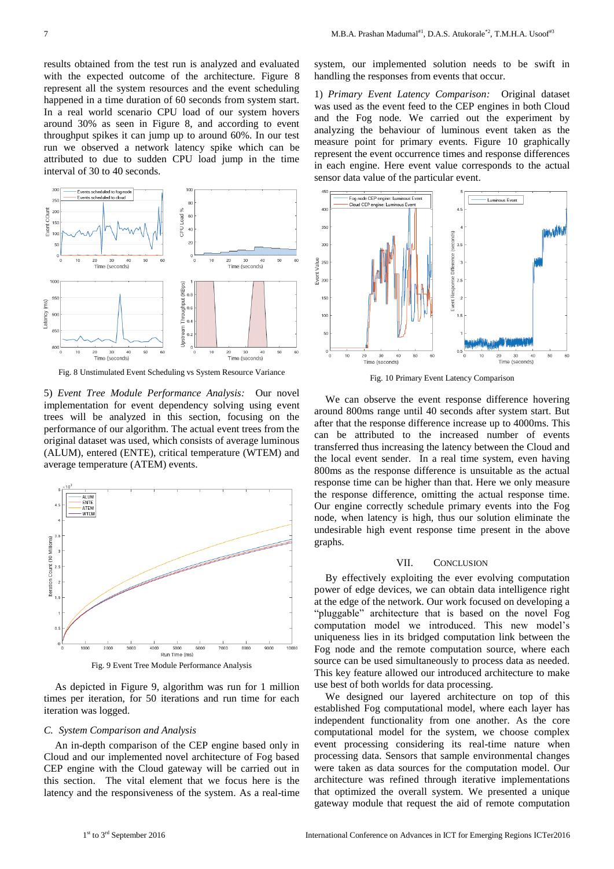results obtained from the test run is analyzed and evaluated with the expected outcome of the architecture. Figure 8 represent all the system resources and the event scheduling happened in a time duration of 60 seconds from system start. In a real world scenario CPU load of our system hovers around 30% as seen in Figure 8, and according to event throughput spikes it can jump up to around 60%. In our test run we observed a network latency spike which can be attributed to due to sudden CPU load jump in the time interval of 30 to 40 seconds.



Fig. 8 Unstimulated Event Scheduling vs System Resource Variance

5) *Event Tree Module Performance Analysis:* Our novel implementation for event dependency solving using event trees will be analyzed in this section, focusing on the performance of our algorithm. The actual event trees from the original dataset was used, which consists of average luminous (ALUM), entered (ENTE), critical temperature (WTEM) and average temperature (ATEM) events.



Fig. 9 Event Tree Module Performance Analysis

As depicted in Figure 9, algorithm was run for 1 million times per iteration, for 50 iterations and run time for each iteration was logged.

#### *C. System Comparison and Analysis*

An in-depth comparison of the CEP engine based only in Cloud and our implemented novel architecture of Fog based CEP engine with the Cloud gateway will be carried out in this section. The vital element that we focus here is the latency and the responsiveness of the system. As a real-time system, our implemented solution needs to be swift in handling the responses from events that occur.

1) *Primary Event Latency Comparison:* Original dataset was used as the event feed to the CEP engines in both Cloud and the Fog node. We carried out the experiment by analyzing the behaviour of luminous event taken as the measure point for primary events. Figure 10 graphically represent the event occurrence times and response differences in each engine. Here event value corresponds to the actual sensor data value of the particular event.



Fig. 10 Primary Event Latency Comparison

We can observe the event response difference hovering around 800ms range until 40 seconds after system start. But after that the response difference increase up to 4000ms. This can be attributed to the increased number of events transferred thus increasing the latency between the Cloud and the local event sender. In a real time system, even having 800ms as the response difference is unsuitable as the actual response time can be higher than that. Here we only measure the response difference, omitting the actual response time. Our engine correctly schedule primary events into the Fog node, when latency is high, thus our solution eliminate the undesirable high event response time present in the above graphs.

# VII. CONCLUSION

By effectively exploiting the ever evolving computation power of edge devices, we can obtain data intelligence right at the edge of the network. Our work focused on developing a "pluggable" architecture that is based on the novel Fog computation model we introduced. This new model's uniqueness lies in its bridged computation link between the Fog node and the remote computation source, where each source can be used simultaneously to process data as needed. This key feature allowed our introduced architecture to make use best of both worlds for data processing.

We designed our layered architecture on top of this established Fog computational model, where each layer has independent functionality from one another. As the core computational model for the system, we choose complex event processing considering its real-time nature when processing data. Sensors that sample environmental changes were taken as data sources for the computation model. Our architecture was refined through iterative implementations that optimized the overall system. We presented a unique gateway module that request the aid of remote computation